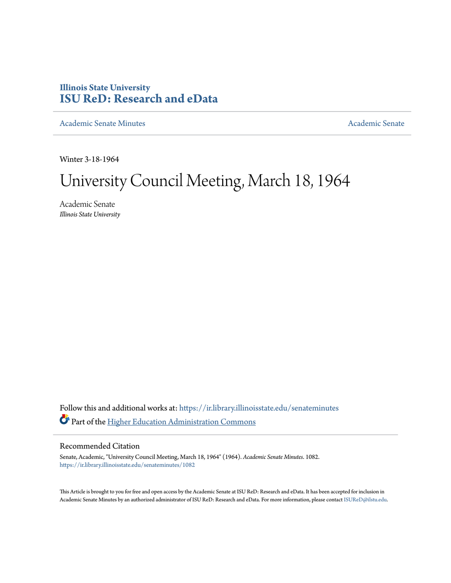## **Illinois State University [ISU ReD: Research and eData](https://ir.library.illinoisstate.edu?utm_source=ir.library.illinoisstate.edu%2Fsenateminutes%2F1082&utm_medium=PDF&utm_campaign=PDFCoverPages)**

[Academic Senate Minutes](https://ir.library.illinoisstate.edu/senateminutes?utm_source=ir.library.illinoisstate.edu%2Fsenateminutes%2F1082&utm_medium=PDF&utm_campaign=PDFCoverPages) [Academic Senate](https://ir.library.illinoisstate.edu/senate?utm_source=ir.library.illinoisstate.edu%2Fsenateminutes%2F1082&utm_medium=PDF&utm_campaign=PDFCoverPages) Academic Senate

Winter 3-18-1964

# University Council Meeting, March 18, 1964

Academic Senate *Illinois State University*

Follow this and additional works at: [https://ir.library.illinoisstate.edu/senateminutes](https://ir.library.illinoisstate.edu/senateminutes?utm_source=ir.library.illinoisstate.edu%2Fsenateminutes%2F1082&utm_medium=PDF&utm_campaign=PDFCoverPages) Part of the [Higher Education Administration Commons](http://network.bepress.com/hgg/discipline/791?utm_source=ir.library.illinoisstate.edu%2Fsenateminutes%2F1082&utm_medium=PDF&utm_campaign=PDFCoverPages)

### Recommended Citation

Senate, Academic, "University Council Meeting, March 18, 1964" (1964). *Academic Senate Minutes*. 1082. [https://ir.library.illinoisstate.edu/senateminutes/1082](https://ir.library.illinoisstate.edu/senateminutes/1082?utm_source=ir.library.illinoisstate.edu%2Fsenateminutes%2F1082&utm_medium=PDF&utm_campaign=PDFCoverPages)

This Article is brought to you for free and open access by the Academic Senate at ISU ReD: Research and eData. It has been accepted for inclusion in Academic Senate Minutes by an authorized administrator of ISU ReD: Research and eData. For more information, please contact [ISUReD@ilstu.edu.](mailto:ISUReD@ilstu.edu)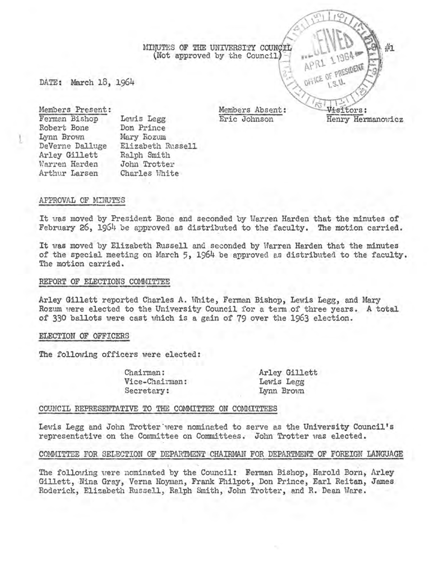DATE: March 18, 1964

Members Present: Ferman Bishop Robert Bone Lynn Brown DeVerne Dalluge Arley Gillett Warren Harden Arthur Larsen Lewis Legg Don Prince Mary Rozum Elizabeth Russell Ralph Smith John Trotter Charles White

#### APPROVAL OF MINUTES

l

It was moved by President Bone and seconded by Warren Harden that the minutes of February 26, 1964 be approved as distributed to the faculty. The motion carried.

It was moved by Elizabeth Russell and seconded by Warren Harden that the minutes of the special meeting on March 5, 1964 be approved as distributed to the faculty. The motion carried.

#### REPORT OF ELECTIONS COMMITTEE

Arley Gillett reported Charles A. White, Ferman Bishop, Lewis Legg, and Mary Rozum were elected to the University Council for a term of three years. A total of 330 ballots were cast uhich is a gain of 79 over the 1963 election.

#### ELECTION OF OFFICERS

The following officers were elected:

Chairman: Vice-Chairman: Secretary:

Arley Gillett Lewis Legg Lynn Brovm

#### COUNCIL REPRESENTATIVE TO THE COMMITTEE ON COMMITTEES

Lewis Legg and John Trotter were nominated to serve as the University Council's representative on the Committee on Committees. John Trotter was elected.

#### COMMITTEE FOR SELECTION OF DEPARTMENT CHAIRMAN FOR DEPARTMENT OF FOREIGN LANGUAGE

The following vere nominated by the Council: Eerman Bishop, Harold Born, Arley Gillett, Nina Gray, Verna Hoyman, Frank Philpot, Don Prince, Earl Reitan, James Roderick, Elizabeth Russell, Ralph Smith, John Trotter, and R. Dean Ware.

Members Absent: Eric Johnson

Visitors: Henry Hermanovicz

APRI

APRI I PRESIDENTE

MINUTES OF THE UNIVERSITY COUNCIL (Not approved by the Council)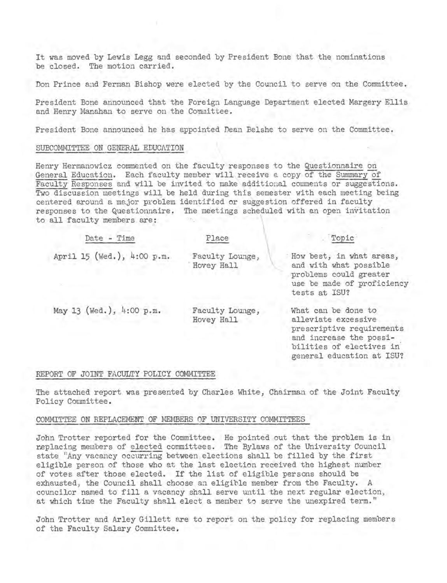It was moved by Lewis Legg and seconded by President Bone that the nominations be closed. The motion carried.

Don Prince and Ferman Bishop were elected by the Council to serve on the Committee.

President Bone announced that the Foreign Language Department elected Margery Ellis and Henry Manahan to serve on the Committee.

President Bone announced he has appointed Dean Belshe to serve on the Committee.

#### SUBCOMMITTEE ON GENERAL EDUCATION

Henry Hermanowicz commented on the faculty responses to the Questionnaire on General Education. Each faculty member will receive a copy of the Summary of Faculty Responses and will be invited to make additional comments or suggestions. Two discussion meetings will be held during this semester with each meeting being centered around a major problem identified or suggestion offered in faculty responses to the Questionnaire. The meetings scheduled with an open invitation to all faculty members are: \

| Date - Time                | Place                         | Topic                                                                                                                                                       |
|----------------------------|-------------------------------|-------------------------------------------------------------------------------------------------------------------------------------------------------------|
| April 15 (Wed.), 4:00 p.m. | Faculty Lounge,<br>Hovey Hall | How best, in what areas,<br>and with what possible<br>problems could greater<br>use be made of proficiency<br>tests at ISU?                                 |
| May 13 (Wed.), 4:00 p.m.   | Faculty Lounge,<br>Hovey Hall | What can be done to<br>alleviate excessive<br>prescriptive requirements<br>and increase the possi-<br>bilities of electives in<br>general education at ISU? |

#### REPORT OF JOINT FACULTY POLICY COMMITTEE

The attached report was presented by Charles White, Chairman of the Joint Faculty Policy Committee.

#### COMMITTEE ON REPLACEMENT OF MEMBERS OF UNIVERSITY COMMITTEES

John Trotter reported for the Committee. He pointed out that the problem is in replacing members of elected committees. The Bylaws of the University Council state "Any vacancy occurring between elections shall be filled by the first eligible person of those who at the last election received the highest number of votes after those elected. If the list of eligible persons should be exhausted, the Council shall choose an eligible member from the Faculty. A councilor named to fill a vacancy shall serve until the next regular election) at which time the Faculty shall elect a member to serve the unexpired term."

John Trotter and Arley Gillett are to report on the policy for replacing members of the Faculty Salary Committee.